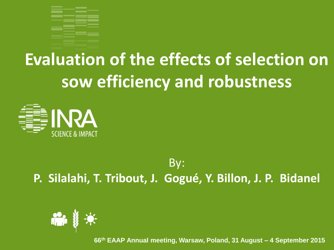

### **Evaluation of the effects of selection on sow efficiency and robustness**



#### By: **P. Silalahi, T. Tribout, J. Gogué, Y. Billon, J. P. Bidanel**



**66th EAAP Annual meeting, Warsaw, Poland, 31 August – 4 September 2015**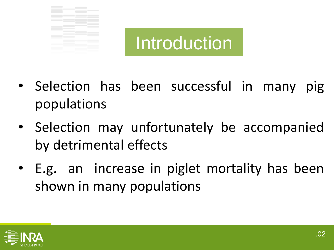



- Selection has been successful in many pig populations
- Selection may unfortunately be accompanied by detrimental effects
- E.g. an increase in piglet mortality has been shown in many populations

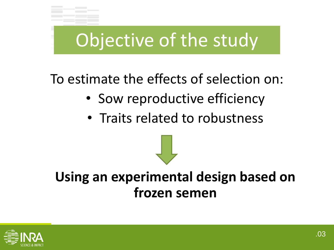### Objective of the study

#### To estimate the effects of selection on:

- Sow reproductive efficiency
- Traits related to robustness

**Using an experimental design based on frozen semen**

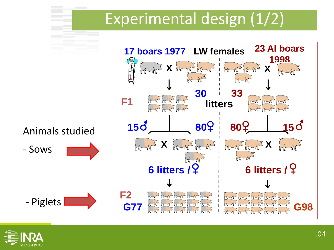### Experimental design (1/2)



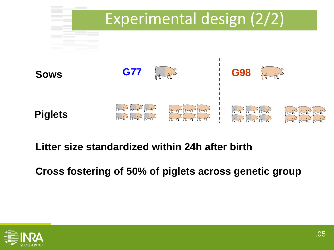

#### **Litter size standardized within 24h after birth**

#### **Cross fostering of 50% of piglets across genetic group**

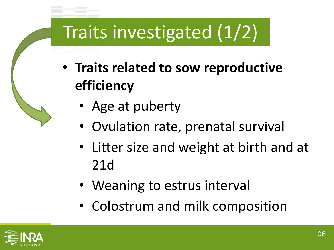# Traits investigated (1/2)

- **Traits related to sow reproductive efficiency**
	- Age at puberty
	- Ovulation rate, prenatal survival
	- Litter size and weight at birth and at 21d
	- Weaning to estrus interval
	- Colostrum and milk composition

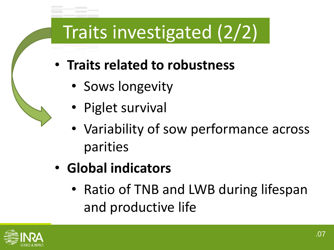## Traits investigated (2/2)

- **Traits related to robustness**
	- Sows longevity
	- Piglet survival
	- Variability of sow performance across parities
- **Global indicators**
	- Ratio of TNB and LWB during lifespan and productive life

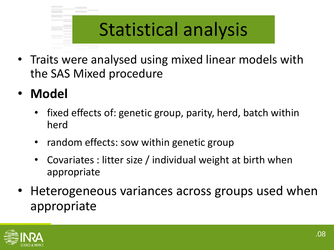### Statistical analysis

- Traits were analysed using mixed linear models with the SAS Mixed procedure
- **Model** 
	- fixed effects of: genetic group, parity, herd, batch within herd
	- random effects: sow within genetic group
	- Covariates : litter size / individual weight at birth when appropriate
- Heterogeneous variances across groups used when appropriate

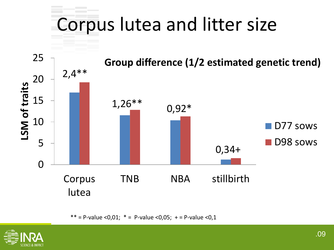# Corpus lutea and litter size



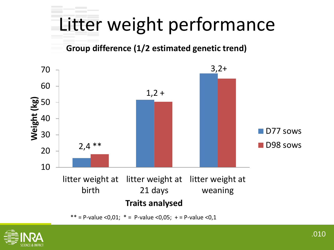# Litter weight performance

#### **Group difference (1/2 estimated genetic trend)**



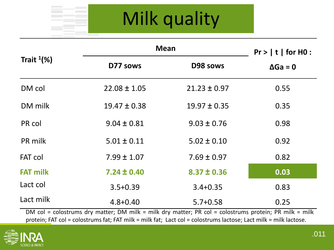# Milk quality

| Trait $1\%$ )   | <b>Mean</b>      |                  | $Pr$ >   t   for H0 : |
|-----------------|------------------|------------------|-----------------------|
|                 | D77 sows         | D98 sows         | $\Delta Ga = 0$       |
| DM col          | $22.08 \pm 1.05$ | $21.23 \pm 0.97$ | 0.55                  |
| DM milk         | $19.47 \pm 0.38$ | $19.97 \pm 0.35$ | 0.35                  |
| PR col          | $9.04 \pm 0.81$  | $9.03 \pm 0.76$  | 0.98                  |
| PR milk         | $5.01 \pm 0.11$  | $5.02 \pm 0.10$  | 0.92                  |
| <b>FAT col</b>  | $7.99 \pm 1.07$  | $7.69 \pm 0.97$  | 0.82                  |
| <b>FAT milk</b> | $7.24 \pm 0.40$  | $8.37 \pm 0.36$  | 0.03                  |
| Lact col        | $3.5 + 0.39$     | $3.4 + 0.35$     | 0.83                  |
| Lact milk       | $4.8 + 0.40$     | $5.7 + 0.58$     | 0.25                  |

DM col = colostrums dry matter; DM milk = milk dry matter; PR col = colostrums protein; PR milk = milk protein; FAT col = colostrums fat; FAT milk = milk fat; Lact col = colostrums lactose; Lact milk = milk lactose.

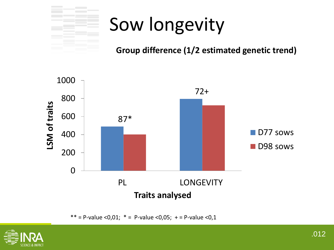

## Sow longevity

#### **Group difference (1/2 estimated genetic trend)**



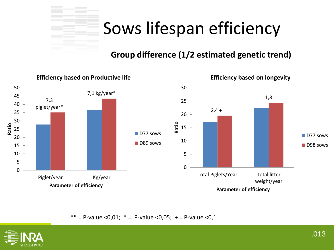### Sows lifespan efficiency

#### **Group difference (1/2 estimated genetic trend)**



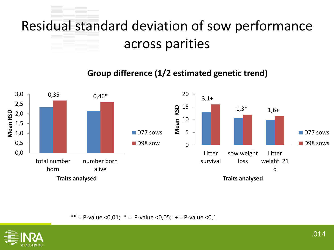### Residual standard deviation of sow performance across parities

#### **Group difference (1/2 estimated genetic trend)**



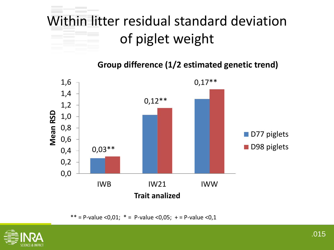### Within litter residual standard deviation of piglet weight

**Group difference (1/2 estimated genetic trend)**



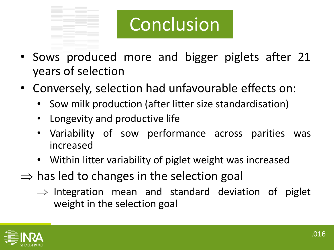

# Conclusion

- Sows produced more and bigger piglets after 21 years of selection
- Conversely, selection had unfavourable effects on:
	- Sow milk production (after litter size standardisation)
	- Longevity and productive life
	- Variability of sow performance across parities was increased
	- Within litter variability of piglet weight was increased
- $\Rightarrow$  has led to changes in the selection goal
	- $\Rightarrow$  Integration mean and standard deviation of piglet weight in the selection goal